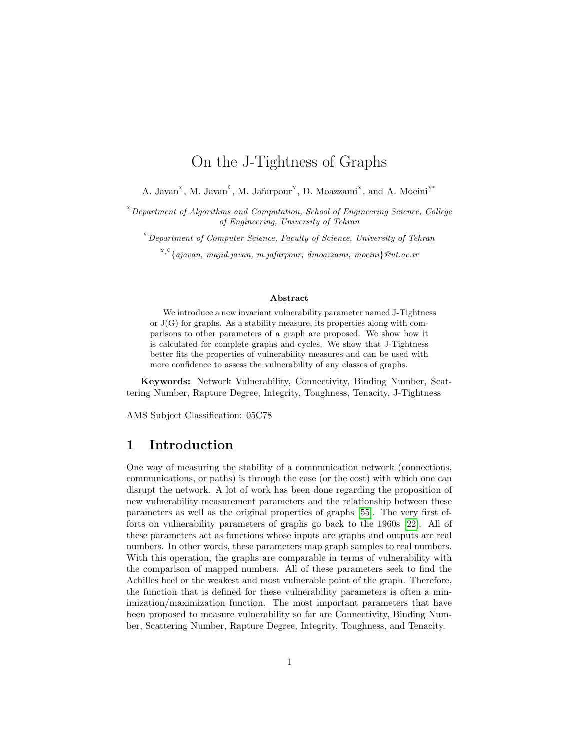# On the J-Tightness of Graphs

A. Javan<sup>x</sup>, M. Javan<sup>5</sup>, M. Jafarpour<sup>x</sup>, D. Moazzami<sup>x</sup>, and A. Moeini<sup>x\*</sup>

 $\alpha^{\times}$ Department of Algorithms and Computation, School of Engineering Science, College of Engineering, University of Tehran

 $\zeta$  Department of Computer Science, Faculty of Science, University of Tehran

 $\mathbf{x}, \mathbf{\hat{y}}$ {ajavan, majid.javan, m.jafarpour, dmoazzami, moeini}@ut.ac.ir

#### Abstract

We introduce a new invariant vulnerability parameter named J-Tightness or  $J(G)$  for graphs. As a stability measure, its properties along with comparisons to other parameters of a graph are proposed. We show how it is calculated for complete graphs and cycles. We show that J-Tightness better fits the properties of vulnerability measures and can be used with more confidence to assess the vulnerability of any classes of graphs.

Keywords: Network Vulnerability, Connectivity, Binding Number, Scattering Number, Rapture Degree, Integrity, Toughness, Tenacity, J-Tightness

AMS Subject Classification: 05C78

### 1 Introduction

One way of measuring the stability of a communication network (connections, communications, or paths) is through the ease (or the cost) with which one can disrupt the network. A lot of work has been done regarding the proposition of new vulnerability measurement parameters and the relationship between these parameters as well as the original properties of graphs [\[55\]](#page-16-0). The very first efforts on vulnerability parameters of graphs go back to the 1960s [\[22\]](#page-14-0). All of these parameters act as functions whose inputs are graphs and outputs are real numbers. In other words, these parameters map graph samples to real numbers. With this operation, the graphs are comparable in terms of vulnerability with the comparison of mapped numbers. All of these parameters seek to find the Achilles heel or the weakest and most vulnerable point of the graph. Therefore, the function that is defined for these vulnerability parameters is often a minimization/maximization function. The most important parameters that have been proposed to measure vulnerability so far are Connectivity, Binding Number, Scattering Number, Rapture Degree, Integrity, Toughness, and Tenacity.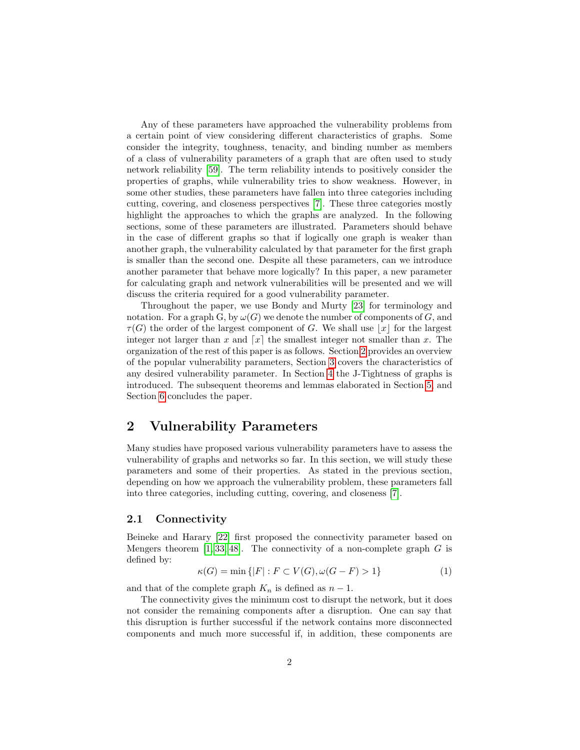Any of these parameters have approached the vulnerability problems from a certain point of view considering different characteristics of graphs. Some consider the integrity, toughness, tenacity, and binding number as members of a class of vulnerability parameters of a graph that are often used to study network reliability [\[59\]](#page-16-1). The term reliability intends to positively consider the properties of graphs, while vulnerability tries to show weakness. However, in some other studies, these parameters have fallen into three categories including cutting, covering, and closeness perspectives [\[7\]](#page-13-0). These three categories mostly highlight the approaches to which the graphs are analyzed. In the following sections, some of these parameters are illustrated. Parameters should behave in the case of different graphs so that if logically one graph is weaker than another graph, the vulnerability calculated by that parameter for the first graph is smaller than the second one. Despite all these parameters, can we introduce another parameter that behave more logically? In this paper, a new parameter for calculating graph and network vulnerabilities will be presented and we will discuss the criteria required for a good vulnerability parameter.

Throughout the paper, we use Bondy and Murty [\[23\]](#page-14-1) for terminology and notation. For a graph G, by  $\omega(G)$  we denote the number of components of G, and  $\tau(G)$  the order of the largest component of G. We shall use  $|x|$  for the largest integer not larger than x and  $\lceil x \rceil$  the smallest integer not smaller than x. The organization of the rest of this paper is as follows. Section [2](#page-1-0) provides an overview of the popular vulnerability parameters, Section [3](#page-4-0) covers the characteristics of any desired vulnerability parameter. In Section [4](#page-7-0) the J-Tightness of graphs is introduced. The subsequent theorems and lemmas elaborated in Section [5,](#page-7-1) and Section [6](#page-12-0) concludes the paper.

### <span id="page-1-0"></span>2 Vulnerability Parameters

Many studies have proposed various vulnerability parameters have to assess the vulnerability of graphs and networks so far. In this section, we will study these parameters and some of their properties. As stated in the previous section, depending on how we approach the vulnerability problem, these parameters fall into three categories, including cutting, covering, and closeness [\[7\]](#page-13-0).

#### 2.1 Connectivity

Beineke and Harary [\[22\]](#page-14-0) first proposed the connectivity parameter based on Mengers theorem  $[1, 33, 48]$  $[1, 33, 48]$  $[1, 33, 48]$ . The connectivity of a non-complete graph G is defined by:

$$
\kappa(G) = \min\{|F| : F \subset V(G), \omega(G - F) > 1\} \tag{1}
$$

and that of the complete graph  $K_n$  is defined as  $n-1$ .

The connectivity gives the minimum cost to disrupt the network, but it does not consider the remaining components after a disruption. One can say that this disruption is further successful if the network contains more disconnected components and much more successful if, in addition, these components are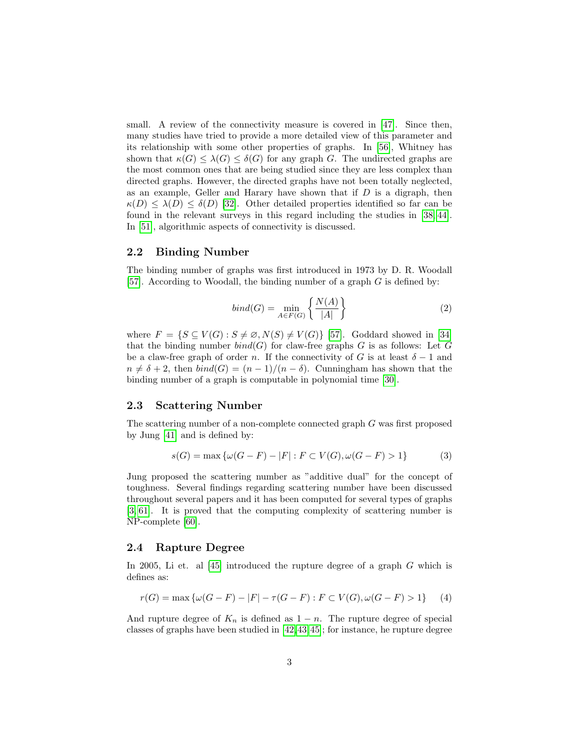small. A review of the connectivity measure is covered in [\[47\]](#page-16-3). Since then, many studies have tried to provide a more detailed view of this parameter and its relationship with some other properties of graphs. In [\[56\]](#page-16-4), Whitney has shown that  $\kappa(G) \leq \lambda(G) \leq \delta(G)$  for any graph G. The undirected graphs are the most common ones that are being studied since they are less complex than directed graphs. However, the directed graphs have not been totally neglected, as an example, Geller and Harary have shown that if  $D$  is a digraph, then  $\kappa(D) \leq \lambda(D) \leq \delta(D)$  [\[32\]](#page-15-1). Other detailed properties identified so far can be found in the relevant surveys in this regard including the studies in [\[38,](#page-15-2) [44\]](#page-16-5). In [\[51\]](#page-16-6), algorithmic aspects of connectivity is discussed.

#### 2.2 Binding Number

The binding number of graphs was first introduced in 1973 by D. R. Woodall [\[57\]](#page-16-7). According to Woodall, the binding number of a graph  $G$  is defined by:

$$
bind(G) = \min_{A \in F(G)} \left\{ \frac{N(A)}{|A|} \right\} \tag{2}
$$

where  $F = \{S \subseteq V(G) : S \neq \emptyset, N(S) \neq V(G)\}\$  [\[57\]](#page-16-7). Goddard showed in [\[34\]](#page-15-3) that the binding number  $bind(G)$  for claw-free graphs G is as follows: Let G be a claw-free graph of order n. If the connectivity of G is at least  $\delta - 1$  and  $n \neq \delta + 2$ , then  $bind(G) = (n-1)/(n-\delta)$ . Cunningham has shown that the binding number of a graph is computable in polynomial time [\[30\]](#page-15-4).

#### 2.3 Scattering Number

The scattering number of a non-complete connected graph G was first proposed by Jung [\[41\]](#page-15-5) and is defined by:

$$
s(G) = \max \{ \omega(G - F) - |F| : F \subset V(G), \omega(G - F) > 1 \}
$$
 (3)

Jung proposed the scattering number as "additive dual" for the concept of toughness. Several findings regarding scattering number have been discussed throughout several papers and it has been computed for several types of graphs [\[3,](#page-13-1) [61\]](#page-17-0). It is proved that the computing complexity of scattering number is NP-complete [\[60\]](#page-16-8).

#### 2.4 Rapture Degree

In 2005, Li et. al  $[45]$  introduced the rupture degree of a graph G which is defines as:

$$
r(G) = \max \{ \omega(G - F) - |F| - \tau(G - F) : F \subset V(G), \omega(G - F) > 1 \} \tag{4}
$$

And rupture degree of  $K_n$  is defined as  $1 - n$ . The rupture degree of special classes of graphs have been studied in [\[42,](#page-15-6)[43,](#page-15-7)[45\]](#page-16-9); for instance, he rupture degree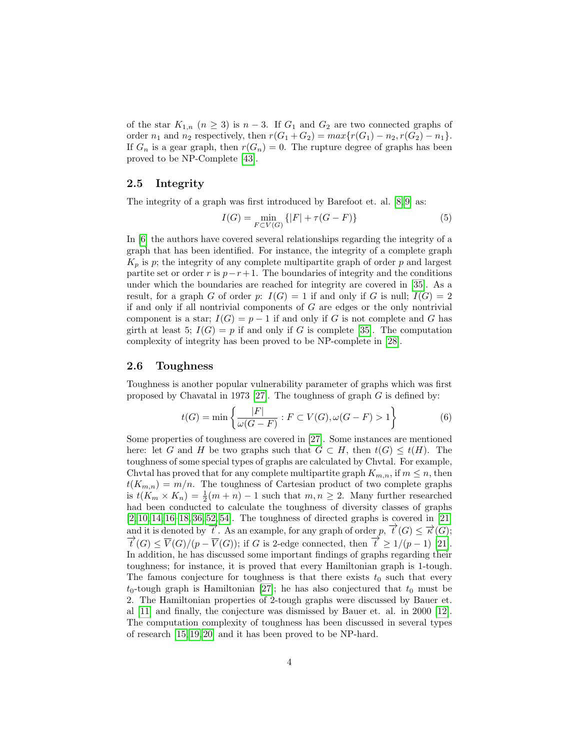of the star  $K_{1,n}$  ( $n \geq 3$ ) is  $n-3$ . If  $G_1$  and  $G_2$  are two connected graphs of order  $n_1$  and  $n_2$  respectively, then  $r(G_1+G_2)=max\{r(G_1)-r_2,r(G_2)-r_1\}.$ If  $G_n$  is a gear graph, then  $r(G_n) = 0$ . The rupture degree of graphs has been proved to be NP-Complete [\[43\]](#page-15-7).

#### 2.5 Integrity

The integrity of a graph was first introduced by Barefoot et. al. [\[8,](#page-13-2) [9\]](#page-13-3) as:

$$
I(G) = \min_{F \subset V(G)} \{|F| + \tau(G - F)\}\tag{5}
$$

In [\[6\]](#page-13-4) the authors have covered several relationships regarding the integrity of a graph that has been identified. For instance, the integrity of a complete graph  $K_p$  is p; the integrity of any complete multipartite graph of order p and largest partite set or order r is  $p-r+1$ . The boundaries of integrity and the conditions under which the boundaries are reached for integrity are covered in [\[35\]](#page-15-8). As a result, for a graph G of order p:  $I(G) = 1$  if and only if G is null;  $I(G) = 2$ if and only if all nontrivial components of  $G$  are edges or the only nontrivial component is a star;  $I(G) = p - 1$  if and only if G is not complete and G has girth at least 5;  $I(G) = p$  if and only if G is complete [\[35\]](#page-15-8). The computation complexity of integrity has been proved to be NP-complete in [\[28\]](#page-14-2).

#### 2.6 Toughness

Toughness is another popular vulnerability parameter of graphs which was first proposed by Chavatal in 1973 [\[27\]](#page-14-3). The toughness of graph  $G$  is defined by:

$$
t(G) = \min\left\{\frac{|F|}{\omega(G - F)} : F \subset V(G), \omega(G - F) > 1\right\}
$$
(6)

Some properties of toughness are covered in [\[27\]](#page-14-3). Some instances are mentioned here: let G and H be two graphs such that  $G \subset H$ , then  $t(G) \leq t(H)$ . The toughness of some special types of graphs are calculated by Chvtal. For example, Chvtal has proved that for any complete multipartite graph  $K_{m,n}$ , if  $m \leq n$ , then  $t(K_{m,n}) = m/n$ . The toughness of Cartesian product of two complete graphs is  $t(K_m \times K_n) = \frac{1}{2}(m+n) - 1$  such that  $m, n \geq 2$ . Many further researched had been conducted to calculate the toughness of diversity classes of graphs [\[2,](#page-13-5) [10,](#page-13-6) [14,](#page-14-4) [16](#page-14-5)[–18,](#page-14-6) [36,](#page-15-9) [52,](#page-16-10) [54\]](#page-16-11). The toughness of directed graphs is covered in [\[21\]](#page-14-7) and it is denoted by  $\overrightarrow{t}$ . As an example, for any graph of order p,  $\overrightarrow{t}$  (G)  $\leq \overrightarrow{\kappa}$  (G);  $\overrightarrow{t}(G) \leq \overline{V}(G)/(p - \overline{V}(G))$ ; if G is 2-edge connected, then  $\overrightarrow{t} \geq 1/(p-1)$  [\[21\]](#page-14-7). In addition, he has discussed some important findings of graphs regarding their toughness; for instance, it is proved that every Hamiltonian graph is 1-tough. The famous conjecture for toughness is that there exists  $t_0$  such that every  $t_0$ -tough graph is Hamiltonian [\[27\]](#page-14-3); he has also conjectured that  $t_0$  must be 2. The Hamiltonian properties of 2-tough graphs were discussed by Bauer et. al [\[11\]](#page-13-7) and finally, the conjecture was dismissed by Bauer et. al. in 2000 [\[12\]](#page-14-8). The computation complexity of toughness has been discussed in several types of research [\[15,](#page-14-9) [19,](#page-14-10) [20\]](#page-14-11) and it has been proved to be NP-hard.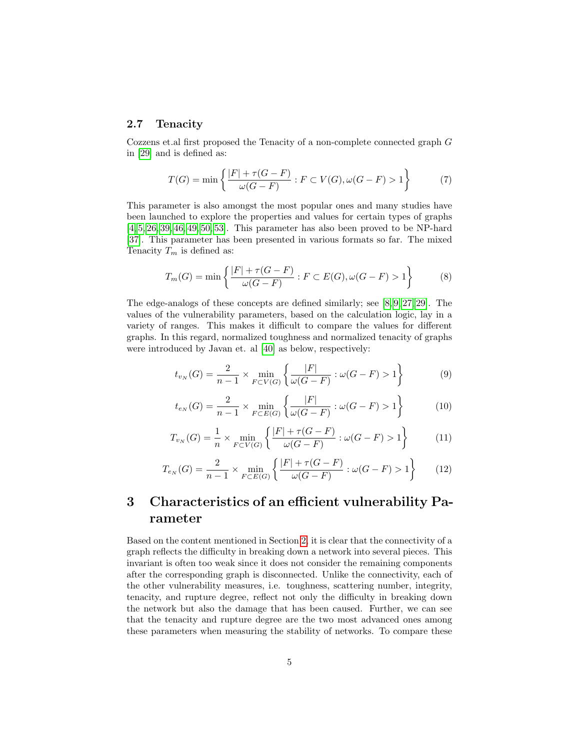#### 2.7 Tenacity

Cozzens et.al first proposed the Tenacity of a non-complete connected graph G in [\[29\]](#page-15-10) and is defined as:

$$
T(G) = \min\left\{ \frac{|F| + \tau(G - F)}{\omega(G - F)} : F \subset V(G), \omega(G - F) > 1 \right\}
$$
(7)

This parameter is also amongst the most popular ones and many studies have been launched to explore the properties and values for certain types of graphs [\[4,](#page-13-8) [5,](#page-13-9) [26,](#page-14-12) [39,](#page-15-11) [46,](#page-16-12) [49,](#page-16-13) [50,](#page-16-14) [53\]](#page-16-15). This parameter has also been proved to be NP-hard [\[37\]](#page-15-12). This parameter has been presented in various formats so far. The mixed Tenacity  $T_m$  is defined as:

$$
T_m(G) = \min\left\{ \frac{|F| + \tau(G - F)}{\omega(G - F)} : F \subset E(G), \omega(G - F) > 1 \right\}
$$
(8)

The edge-analogs of these concepts are defined similarly; see [\[8,](#page-13-2) [9,](#page-13-3) [27,](#page-14-3) [29\]](#page-15-10). The values of the vulnerability parameters, based on the calculation logic, lay in a variety of ranges. This makes it difficult to compare the values for different graphs. In this regard, normalized toughness and normalized tenacity of graphs were introduced by Javan et. al [\[40\]](#page-15-13) as below, respectively:

$$
t_{v_N}(G) = \frac{2}{n-1} \times \min_{F \subset V(G)} \left\{ \frac{|F|}{\omega(G-F)} : \omega(G-F) > 1 \right\}
$$
(9)

$$
t_{e_N}(G) = \frac{2}{n-1} \times \min_{F \subset E(G)} \left\{ \frac{|F|}{\omega(G-F)} : \omega(G-F) > 1 \right\}
$$
 (10)

$$
T_{v_N}(G) = \frac{1}{n} \times \min_{F \subset V(G)} \left\{ \frac{|F| + \tau(G - F)}{\omega(G - F)} : \omega(G - F) > 1 \right\} \tag{11}
$$

$$
T_{e_N}(G) = \frac{2}{n-1} \times \min_{F \subset E(G)} \left\{ \frac{|F| + \tau(G - F)}{\omega(G - F)} : \omega(G - F) > 1 \right\}
$$
(12)

# <span id="page-4-0"></span>3 Characteristics of an efficient vulnerability Parameter

Based on the content mentioned in Section [2,](#page-1-0) it is clear that the connectivity of a graph reflects the difficulty in breaking down a network into several pieces. This invariant is often too weak since it does not consider the remaining components after the corresponding graph is disconnected. Unlike the connectivity, each of the other vulnerability measures, i.e. toughness, scattering number, integrity, tenacity, and rupture degree, reflect not only the difficulty in breaking down the network but also the damage that has been caused. Further, we can see that the tenacity and rupture degree are the two most advanced ones among these parameters when measuring the stability of networks. To compare these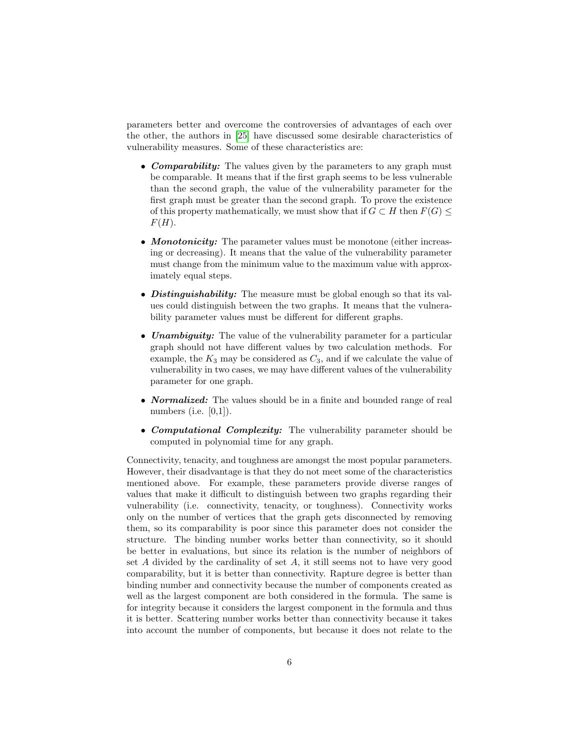parameters better and overcome the controversies of advantages of each over the other, the authors in [\[25\]](#page-14-13) have discussed some desirable characteristics of vulnerability measures. Some of these characteristics are:

- Comparability: The values given by the parameters to any graph must be comparable. It means that if the first graph seems to be less vulnerable than the second graph, the value of the vulnerability parameter for the first graph must be greater than the second graph. To prove the existence of this property mathematically, we must show that if  $G \subset H$  then  $F(G)$  $F(H)$ .
- **Monotonicity:** The parameter values must be monotone (either increasing or decreasing). It means that the value of the vulnerability parameter must change from the minimum value to the maximum value with approximately equal steps.
- *Distinguishability:* The measure must be global enough so that its values could distinguish between the two graphs. It means that the vulnerability parameter values must be different for different graphs.
- Unambiguity: The value of the vulnerability parameter for a particular graph should not have different values by two calculation methods. For example, the  $K_3$  may be considered as  $C_3$ , and if we calculate the value of vulnerability in two cases, we may have different values of the vulnerability parameter for one graph.
- **Normalized:** The values should be in a finite and bounded range of real numbers (i.e.  $[0,1]$ ).
- Computational Complexity: The vulnerability parameter should be computed in polynomial time for any graph.

Connectivity, tenacity, and toughness are amongst the most popular parameters. However, their disadvantage is that they do not meet some of the characteristics mentioned above. For example, these parameters provide diverse ranges of values that make it difficult to distinguish between two graphs regarding their vulnerability (i.e. connectivity, tenacity, or toughness). Connectivity works only on the number of vertices that the graph gets disconnected by removing them, so its comparability is poor since this parameter does not consider the structure. The binding number works better than connectivity, so it should be better in evaluations, but since its relation is the number of neighbors of set A divided by the cardinality of set  $A$ , it still seems not to have very good comparability, but it is better than connectivity. Rapture degree is better than binding number and connectivity because the number of components created as well as the largest component are both considered in the formula. The same is for integrity because it considers the largest component in the formula and thus it is better. Scattering number works better than connectivity because it takes into account the number of components, but because it does not relate to the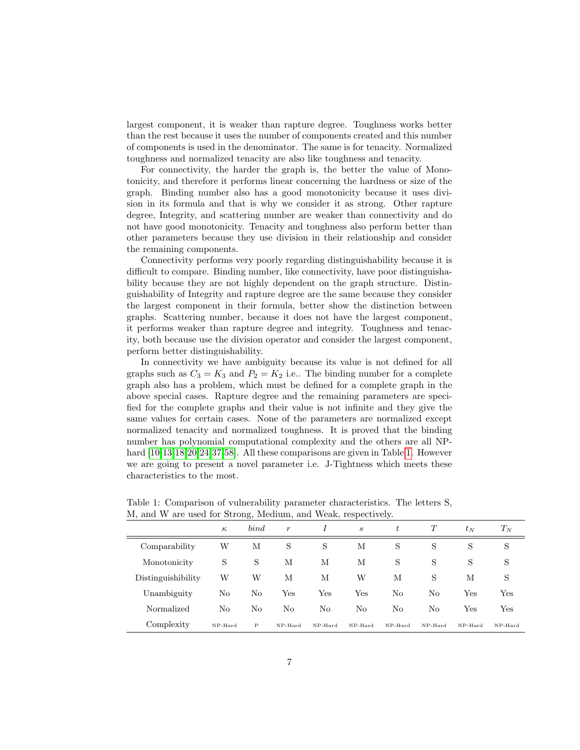largest component, it is weaker than rapture degree. Toughness works better than the rest because it uses the number of components created and this number of components is used in the denominator. The same is for tenacity. Normalized toughness and normalized tenacity are also like toughness and tenacity.

For connectivity, the harder the graph is, the better the value of Monotonicity, and therefore it performs linear concerning the hardness or size of the graph. Binding number also has a good monotonicity because it uses division in its formula and that is why we consider it as strong. Other rapture degree, Integrity, and scattering number are weaker than connectivity and do not have good monotonicity. Tenacity and toughness also perform better than other parameters because they use division in their relationship and consider the remaining components.

Connectivity performs very poorly regarding distinguishability because it is difficult to compare. Binding number, like connectivity, have poor distinguishability because they are not highly dependent on the graph structure. Distinguishability of Integrity and rapture degree are the same because they consider the largest component in their formula, better show the distinction between graphs. Scattering number, because it does not have the largest component, it performs weaker than rapture degree and integrity. Toughness and tenacity, both because use the division operator and consider the largest component, perform better distinguishability.

In connectivity we have ambiguity because its value is not defined for all graphs such as  $C_3 = K_3$  and  $P_2 = K_2$  i.e.. The binding number for a complete graph also has a problem, which must be defined for a complete graph in the above special cases. Rapture degree and the remaining parameters are specified for the complete graphs and their value is not infinite and they give the same values for certain cases. None of the parameters are normalized except normalized tenacity and normalized toughness. It is proved that the binding number has polynomial computational complexity and the others are all NPhard  $[10,13,18,20,24,37,58]$  $[10,13,18,20,24,37,58]$  $[10,13,18,20,24,37,58]$  $[10,13,18,20,24,37,58]$  $[10,13,18,20,24,37,58]$  $[10,13,18,20,24,37,58]$  $[10,13,18,20,24,37,58]$ . All these comparisons are given in Table [1.](#page-6-0) However we are going to present a novel parameter i.e. J-Tightness which meets these characteristics to the most.

|                    | $\kappa$ | bind | $\boldsymbol{r}$ |         | S       | t       | T       | $t_N$   | $T_N$   |
|--------------------|----------|------|------------------|---------|---------|---------|---------|---------|---------|
| Comparability      | W        | М    | S                | S       | М       | S       | S       | S       | S       |
| Monotonicity       | S        | S    | М                | М       | М       | S       | S       | S       | S       |
| Distinguishibility | W        | W    | М                | М       | W       | М       | S       | М       | S       |
| Unambiguity        | No       | No   | Yes              | Yes     | Yes     | No      | No      | Yes     | Yes     |
| Normalized         | No       | No   | No               | No      | No      | No      | No      | Yes     | Yes     |
| Complexity         | NP-Hard  | P    | NP-Hard          | NP-Hard | NP-Hard | NP-Hard | NP-Hard | NP-Hard | NP-Hard |

<span id="page-6-0"></span>Table 1: Comparison of vulnerability parameter characteristics. The letters S, M, and W are used for Strong, Medium, and Weak, respectively.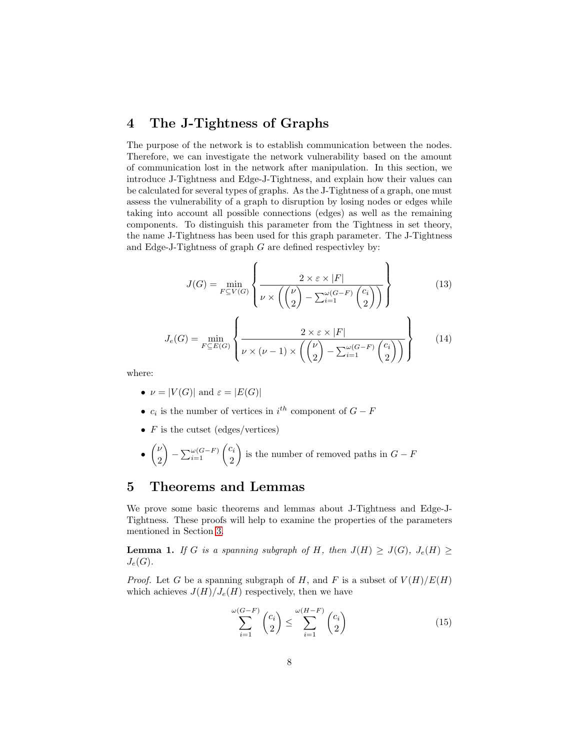### <span id="page-7-0"></span>4 The J-Tightness of Graphs

The purpose of the network is to establish communication between the nodes. Therefore, we can investigate the network vulnerability based on the amount of communication lost in the network after manipulation. In this section, we introduce J-Tightness and Edge-J-Tightness, and explain how their values can be calculated for several types of graphs. As the J-Tightness of a graph, one must assess the vulnerability of a graph to disruption by losing nodes or edges while taking into account all possible connections (edges) as well as the remaining components. To distinguish this parameter from the Tightness in set theory, the name J-Tightness has been used for this graph parameter. The J-Tightness and Edge-J-Tightness of graph G are defined respectivley by:

<span id="page-7-4"></span>
$$
J(G) = \min_{F \subseteq V(G)} \left\{ \frac{2 \times \varepsilon \times |F|}{\nu \times \left( \binom{\nu}{2} - \sum_{i=1}^{\omega(G-F)} \binom{c_i}{2} \right)} \right\}
$$
(13)

<span id="page-7-3"></span>
$$
J_e(G) = \min_{F \subseteq E(G)} \left\{ \frac{2 \times \varepsilon \times |F|}{\nu \times (\nu - 1) \times \left( \binom{\nu}{2} - \sum_{i=1}^{\omega(G - F)} \binom{c_i}{2} \right)} \right\} \tag{14}
$$

where:

- $\nu = |V(G)|$  and  $\varepsilon = |E(G)|$
- $c_i$  is the number of vertices in  $i^{th}$  component of  $G F$
- $F$  is the cutset (edges/vertices)
- $\bullet$   $\begin{pmatrix} \nu \\ 0 \end{pmatrix}$ 2  $-\sum_{i=1}^{\omega(G-F)}\binom{c_i}{2}$ 2 is the number of removed paths in  $G - F$

### <span id="page-7-1"></span>5 Theorems and Lemmas

We prove some basic theorems and lemmas about J-Tightness and Edge-J-Tightness. These proofs will help to examine the properties of the parameters mentioned in Section [3.](#page-4-0)

<span id="page-7-2"></span>**Lemma 1.** If G is a spanning subgraph of H, then  $J(H) \geq J(G)$ ,  $J_e(H) \geq$  $J_e(G)$ .

*Proof.* Let G be a spanning subgraph of H, and F is a subset of  $V(H)/E(H)$ which achieves  $J(H)/J_e(H)$  respectively, then we have

$$
\sum_{i=1}^{\omega(G-F)} \binom{c_i}{2} \le \sum_{i=1}^{\omega(H-F)} \binom{c_i}{2} \tag{15}
$$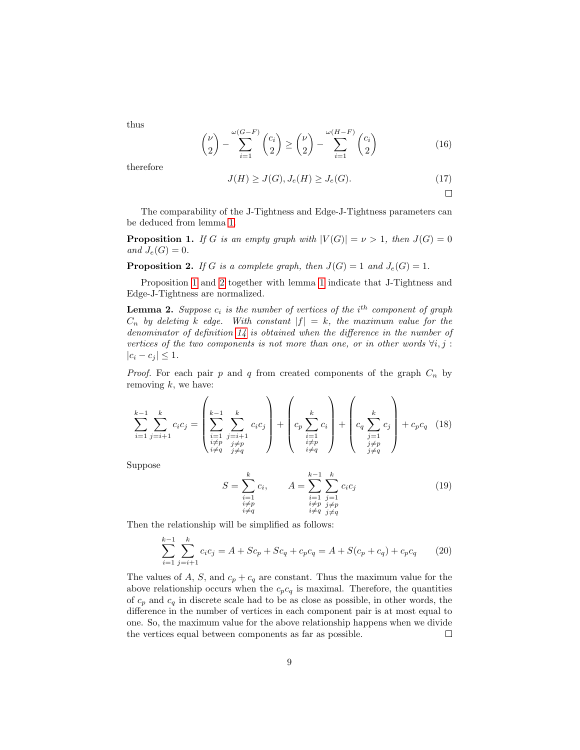thus

$$
\binom{\nu}{2} - \sum_{i=1}^{\omega(G-F)} \binom{c_i}{2} \ge \binom{\nu}{2} - \sum_{i=1}^{\omega(H-F)} \binom{c_i}{2} \tag{16}
$$

therefore

$$
J(H) \ge J(G), J_e(H) \ge J_e(G). \tag{17}
$$

 $\Box$ 

The comparability of the J-Tightness and Edge-J-Tightness parameters can be deduced from lemma [1.](#page-7-2)

<span id="page-8-0"></span>**Proposition 1.** If G is an empty graph with  $|V(G)| = \nu > 1$ , then  $J(G) = 0$ and  $J_e(G) = 0$ .

<span id="page-8-1"></span>**Proposition 2.** If G is a complete graph, then  $J(G) = 1$  and  $J_e(G) = 1$ .

Proposition [1](#page-8-0) and [2](#page-8-1) together with lemma [1](#page-7-2) indicate that J-Tightness and Edge-J-Tightness are normalized.

<span id="page-8-2"></span>**Lemma 2.** Suppose  $c_i$  is the number of vertices of the  $i^{th}$  component of graph  $C_n$  by deleting k edge. With constant  $|f| = k$ , the maximum value for the denominator of definition [14](#page-7-3) is obtained when the difference in the number of vertices of the two components is not more than one, or in other words  $\forall i, j$ :  $|c_i - c_j| \leq 1.$ 

*Proof.* For each pair p and q from created components of the graph  $C_n$  by removing  $k$ , we have:

$$
\sum_{i=1}^{k-1} \sum_{j=i+1}^{k} c_i c_j = \left( \sum_{\substack{i=1 \ i \neq p}}^{k-1} \sum_{\substack{j=i+1 \ j \neq p}}^{k} c_i c_j \right) + \left( c_p \sum_{\substack{i=1 \ i \neq p}}^{k} c_i \right) + \left( c_q \sum_{\substack{j=1 \ j \neq p}}^{k} c_j \right) + c_p c_q \quad (18)
$$

Suppose

$$
S = \sum_{\substack{i=1 \ i \neq p}}^{k} c_i, \qquad A = \sum_{\substack{i=1 \ i \neq p}}^{k-1} \sum_{\substack{j=1 \ i \neq p}}^{k} c_i c_j
$$
(19)

Then the relationship will be simplified as follows:

$$
\sum_{i=1}^{k-1} \sum_{j=i+1}^{k} c_i c_j = A + Sc_p + Sc_q + c_p c_q = A + S(c_p + c_q) + c_p c_q \qquad (20)
$$

<span id="page-8-3"></span>The values of A, S, and  $c_p + c_q$  are constant. Thus the maximum value for the above relationship occurs when the  $c_p c_q$  is maximal. Therefore, the quantities of  $c_p$  and  $c_q$  in discrete scale had to be as close as possible, in other words, the difference in the number of vertices in each component pair is at most equal to one. So, the maximum value for the above relationship happens when we divide the vertices equal between components as far as possible.  $\Box$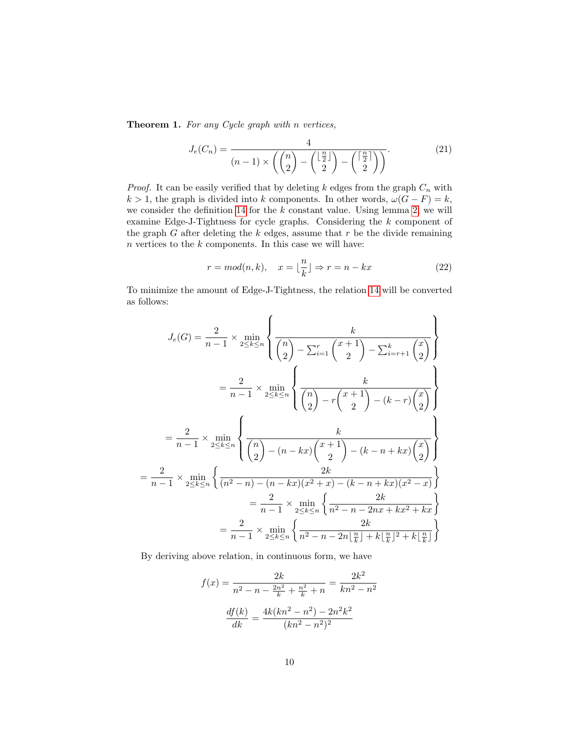Theorem 1. For any Cycle graph with n vertices,

$$
J_e(C_n) = \frac{4}{(n-1) \times \left( \binom{n}{2} - \binom{\lfloor \frac{n}{2} \rfloor}{2} - \binom{\lceil \frac{n}{2} \rceil}{2} \right)}.
$$
(21)

*Proof.* It can be easily verified that by deleting k edges from the graph  $C_n$  with  $k > 1$ , the graph is divided into k components. In other words,  $\omega(G - F) = k$ , we consider the definition [14](#page-7-3) for the  $k$  constant value. Using lemma [2,](#page-8-2) we will examine Edge-J-Tightness for cycle graphs. Considering the k component of the graph  $G$  after deleting the  $k$  edges, assume that  $r$  be the divide remaining  $n$  vertices to the  $k$  components. In this case we will have:

$$
r = mod(n, k), \quad x = \lfloor \frac{n}{k} \rfloor \Rightarrow r = n - kx \tag{22}
$$

To minimize the amount of Edge-J-Tightness, the relation [14](#page-7-3) will be converted as follows:

$$
J_e(G) = \frac{2}{n-1} \times \min_{2 \le k \le n} \left\{ \frac{k}{\binom{n}{2} - \sum_{i=1}^r \binom{x+1}{2} - \sum_{i=r+1}^k \binom{x}{2}} \right\}
$$
  

$$
= \frac{2}{n-1} \times \min_{2 \le k \le n} \left\{ \frac{k}{\binom{n}{2} - r \binom{x+1}{2} - (k-r) \binom{x}{2}} \right\}
$$
  

$$
= \frac{2}{n-1} \times \min_{2 \le k \le n} \left\{ \frac{k}{\binom{n}{2} - (n - kx) \binom{x+1}{2} - (k-n+kx) \binom{x}{2}} \right\}
$$
  

$$
= \frac{2}{n-1} \times \min_{2 \le k \le n} \left\{ \frac{2k}{(n^2 - n) - (n - kx)(x^2 + x) - (k - n + kx)(x^2 - x)} \right\}
$$
  

$$
= \frac{2}{n-1} \times \min_{2 \le k \le n} \left\{ \frac{2k}{n^2 - n - 2nx + kx^2 + kx} \right\}
$$
  

$$
= \frac{2}{n-1} \times \min_{2 \le k \le n} \left\{ \frac{2k}{n^2 - n - 2n \lfloor \frac{n}{k} \rfloor + k \lfloor \frac{n}{k} \rfloor^2 + k \lfloor \frac{n}{k} \rfloor} \right\}
$$

By deriving above relation, in continuous form, we have

$$
f(x) = \frac{2k}{n^2 - n - \frac{2n^2}{k} + \frac{n^2}{k} + n} = \frac{2k^2}{kn^2 - n^2}
$$

$$
\frac{df(k)}{dk} = \frac{4k(kn^2 - n^2) - 2n^2k^2}{(kn^2 - n^2)^2}
$$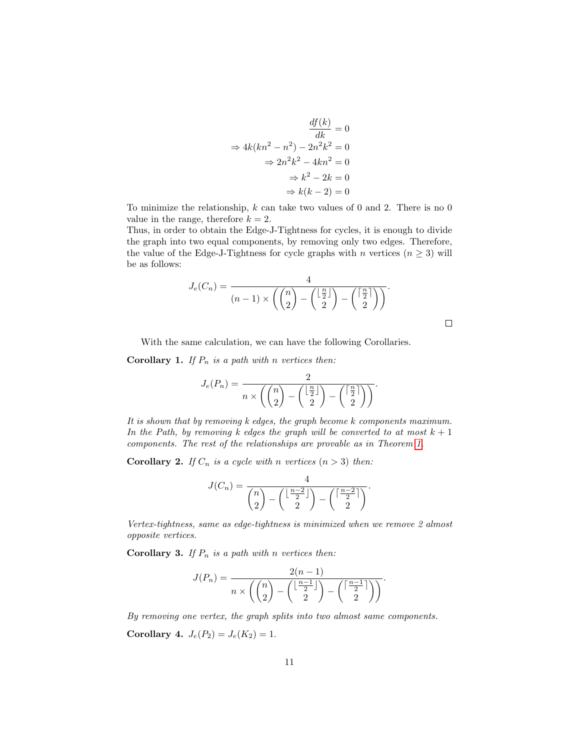$$
\frac{df(k)}{dk} = 0
$$
  
\n
$$
\Rightarrow 4k(kn^2 - n^2) - 2n^2k^2 = 0
$$
  
\n
$$
\Rightarrow 2n^2k^2 - 4kn^2 = 0
$$
  
\n
$$
\Rightarrow k^2 - 2k = 0
$$
  
\n
$$
\Rightarrow k(k-2) = 0
$$

To minimize the relationship,  $k$  can take two values of 0 and 2. There is no 0 value in the range, therefore  $k = 2$ .

Thus, in order to obtain the Edge-J-Tightness for cycles, it is enough to divide the graph into two equal components, by removing only two edges. Therefore, the value of the Edge-J-Tightness for cycle graphs with n vertices  $(n \geq 3)$  will be as follows:

$$
J_e(C_n) = \frac{4}{(n-1)\times\left(\binom{n}{2} - \binom{\lfloor \frac{n}{2} \rfloor}{2} - \binom{\lceil \frac{n}{2} \rceil}{2}\right)}.
$$

 $\Box$ 

With the same calculation, we can have the following Corollaries.

<span id="page-10-2"></span>**Corollary 1.** If  $P_n$  is a path with n vertices then:

$$
J_e(P_n) = \frac{2}{n \times \left( \binom{n}{2} - \binom{\lfloor \frac{n}{2} \rfloor}{2} - \binom{\lceil \frac{n}{2} \rceil}{2} \right)}.
$$

It is shown that by removing k edges, the graph become k components maximum. In the Path, by removing k edges the graph will be converted to at most  $k + 1$ components. The rest of the relationships are provable as in Theorem [1.](#page-8-3)

<span id="page-10-3"></span>**Corollary 2.** If  $C_n$  is a cycle with n vertices  $(n > 3)$  then:

$$
J(C_n) = \frac{4}{\binom{n}{2} - \binom{\lfloor \frac{n-2}{2} \rfloor}{2} - \binom{\lceil \frac{n-2}{2} \rceil}{2}}.
$$

Vertex-tightness, same as edge-tightness is minimized when we remove 2 almost opposite vertices.

<span id="page-10-4"></span>Corollary 3. If  $P_n$  is a path with n vertices then:

$$
J(P_n) = \frac{2(n-1)}{n \times \left( \binom{n}{2} - \binom{\lfloor \frac{n-1}{2} \rfloor}{2} - \binom{\lceil \frac{n-1}{2} \rceil}{2} \right)}.
$$

By removing one vertex, the graph splits into two almost same components.

<span id="page-10-1"></span><span id="page-10-0"></span>Corollary 4.  $J_e(P_2) = J_e(K_2) = 1$ .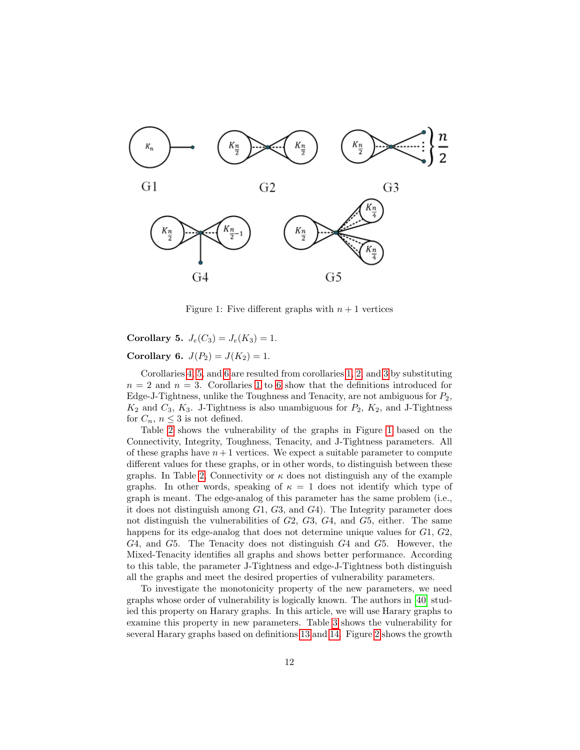

<span id="page-11-1"></span>Figure 1: Five different graphs with  $n + 1$  vertices

<span id="page-11-0"></span>Corollary 5.  $J_e(C_3) = J_e(K_3) = 1$ . Corollary 6.  $J(P_2) = J(K_2) = 1$ .

Corollaries [4,](#page-10-0) [5,](#page-10-1) and [6](#page-11-0) are resulted from corollaries [1,](#page-10-2) [2,](#page-10-3) and [3](#page-10-4) by substituting  $n = 2$  and  $n = 3$ . Corollaries [1](#page-10-2) to [6](#page-11-0) show that the definitions introduced for Edge-J-Tightness, unlike the Toughness and Tenacity, are not ambiguous for  $P_2$ ,  $K_2$  and  $C_3$ ,  $K_3$ . J-Tightness is also unambiguous for  $P_2$ ,  $K_2$ , and J-Tightness for  $C_n$ ,  $n \leq 3$  is not defined.

Table [2](#page-12-2) shows the vulnerability of the graphs in Figure [1](#page-11-1) based on the Connectivity, Integrity, Toughness, Tenacity, and J-Tightness parameters. All of these graphs have  $n+1$  vertices. We expect a suitable parameter to compute different values for these graphs, or in other words, to distinguish between these graphs. In Table [2,](#page-12-2) Connectivity or  $\kappa$  does not distinguish any of the example graphs. In other words, speaking of  $\kappa = 1$  does not identify which type of graph is meant. The edge-analog of this parameter has the same problem (i.e., it does not distinguish among  $G1, G3$ , and  $G4$ ). The Integrity parameter does not distinguish the vulnerabilities of G2, G3, G4, and G5, either. The same happens for its edge-analog that does not determine unique values for  $G1$ ,  $G2$ , G4, and G5. The Tenacity does not distinguish G4 and G5. However, the Mixed-Tenacity identifies all graphs and shows better performance. According to this table, the parameter J-Tightness and edge-J-Tightness both distinguish all the graphs and meet the desired properties of vulnerability parameters.

To investigate the monotonicity property of the new parameters, we need graphs whose order of vulnerability is logically known. The authors in [\[40\]](#page-15-13) studied this property on Harary graphs. In this article, we will use Harary graphs to examine this property in new parameters. Table [3](#page-12-3) shows the vulnerability for several Harary graphs based on definitions [13](#page-7-4) and [14.](#page-7-3) Figure [2](#page-13-10) shows the growth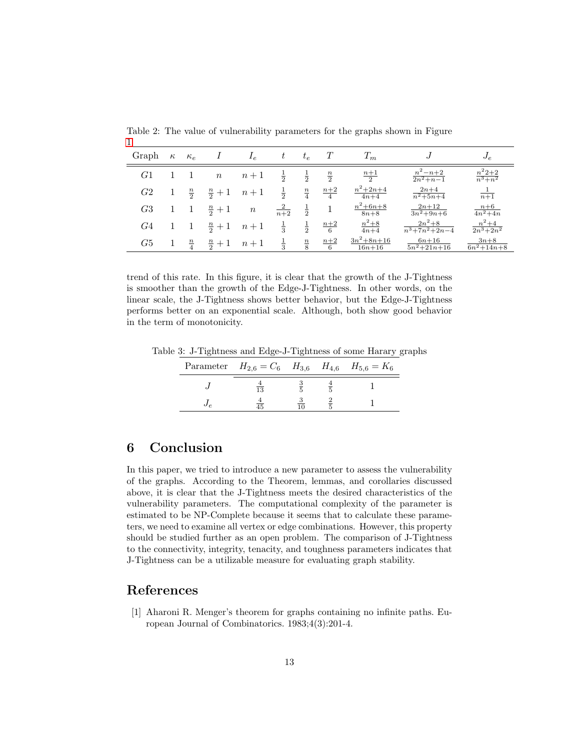| Graph          | $\kappa$ | $\kappa_e$    |                 | $I_e$            | t               | $t_e$         |                 | $T_m$                          |                                    | $J_e$                         |
|----------------|----------|---------------|-----------------|------------------|-----------------|---------------|-----------------|--------------------------------|------------------------------------|-------------------------------|
| G1             |          |               | $\it{n}$        | $n+1$            |                 | $\frac{1}{2}$ | $\frac{n}{2}$   | $rac{n+1}{2}$                  | $rac{n^2-n+2}{2n^2+n-1}$           | $\frac{n^2}{n^3+n^2}$         |
| G2             |          | $\frac{n}{2}$ | $\frac{n}{2}+1$ | $n+1$            | $\frac{1}{2}$   | $\frac{n}{4}$ | $\frac{n+2}{4}$ | $n^2 + 2n + 4$<br>$4n+4$       | $\frac{2n+4}{n^2+5n+4}$            | $\frac{1}{n+1}$               |
| G <sub>3</sub> |          |               | $\frac{n}{2}+1$ | $\boldsymbol{n}$ | $\frac{2}{n+2}$ | $\frac{1}{2}$ |                 | $n^2 + 6n + 8$<br>$8n+8$       | $2n+12$<br>$\frac{3n^2+9n+6}{n}$   | $\frac{n+6}{4n^2+4n}$         |
| G4             |          |               | $\frac{n}{2}+1$ | $n+1$            | $\frac{1}{3}$   | $\frac{1}{2}$ | $\frac{n+2}{6}$ | $n^2+8$<br>$\overline{4n+4}$   | $2n^2+8$<br>$n^3 + 7n^2 + 2n - 4$  | $\frac{n^2+4}{2n^3+2n^2}$     |
| G5             |          | $\frac{n}{4}$ | $\frac{n}{2}+1$ | $n+1$            | $\frac{1}{3}$   | $\frac{n}{8}$ | $\frac{n+2}{6}$ | $3n^2 + 8n + 16$<br>$16n + 16$ | $6n+16$<br>$\frac{5n^2+21n+16}{n}$ | $3n+8$<br>$\sqrt{6n^2+14n+8}$ |

<span id="page-12-2"></span>Table 2: The value of vulnerability parameters for the graphs shown in Figure [1](#page-11-1)

trend of this rate. In this figure, it is clear that the growth of the J-Tightness is smoother than the growth of the Edge-J-Tightness. In other words, on the linear scale, the J-Tightness shows better behavior, but the Edge-J-Tightness performs better on an exponential scale. Although, both show good behavior in the term of monotonicity.

Table 3: J-Tightness and Edge-J-Tightness of some Harary graphs

<span id="page-12-3"></span>

|          | Parameter $H_{2,6} = C_6$ $H_{3,6}$ $H_{4,6}$ $H_{5,6} = K_6$ |  |  |
|----------|---------------------------------------------------------------|--|--|
|          | $\overline{13}$                                               |  |  |
| $\sigma$ | $\overline{45}$                                               |  |  |

## <span id="page-12-0"></span>6 Conclusion

In this paper, we tried to introduce a new parameter to assess the vulnerability of the graphs. According to the Theorem, lemmas, and corollaries discussed above, it is clear that the J-Tightness meets the desired characteristics of the vulnerability parameters. The computational complexity of the parameter is estimated to be NP-Complete because it seems that to calculate these parameters, we need to examine all vertex or edge combinations. However, this property should be studied further as an open problem. The comparison of J-Tightness to the connectivity, integrity, tenacity, and toughness parameters indicates that J-Tightness can be a utilizable measure for evaluating graph stability.

## References

<span id="page-12-1"></span>[1] Aharoni R. Menger's theorem for graphs containing no infinite paths. European Journal of Combinatorics. 1983;4(3):201-4.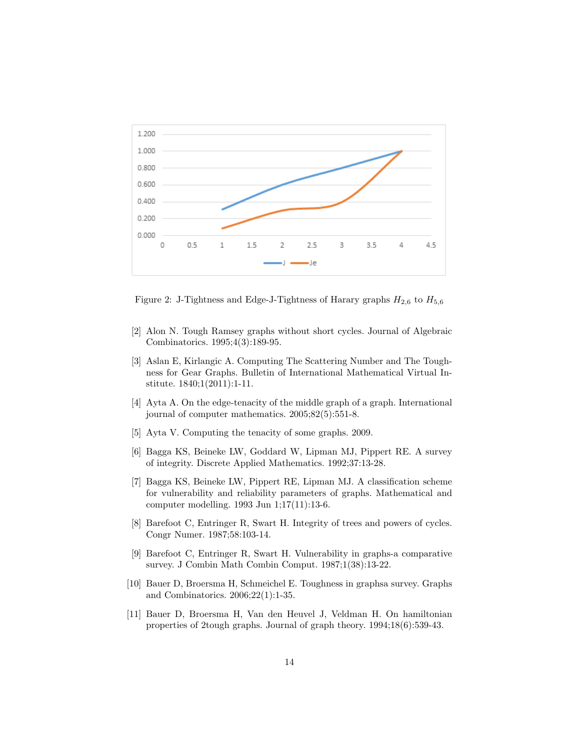

<span id="page-13-10"></span>Figure 2: J-Tightness and Edge-J-Tightness of Harary graphs  $H_{2,6}$  to  $H_{5,6}$ 

- <span id="page-13-5"></span>[2] Alon N. Tough Ramsey graphs without short cycles. Journal of Algebraic Combinatorics. 1995;4(3):189-95.
- <span id="page-13-1"></span>[3] Aslan E, Kirlangic A. Computing The Scattering Number and The Toughness for Gear Graphs. Bulletin of International Mathematical Virtual Institute. 1840;1(2011):1-11.
- <span id="page-13-8"></span>[4] Ayta A. On the edge-tenacity of the middle graph of a graph. International journal of computer mathematics. 2005;82(5):551-8.
- <span id="page-13-9"></span>[5] Ayta V. Computing the tenacity of some graphs. 2009.
- <span id="page-13-4"></span>[6] Bagga KS, Beineke LW, Goddard W, Lipman MJ, Pippert RE. A survey of integrity. Discrete Applied Mathematics. 1992;37:13-28.
- <span id="page-13-0"></span>[7] Bagga KS, Beineke LW, Pippert RE, Lipman MJ. A classification scheme for vulnerability and reliability parameters of graphs. Mathematical and computer modelling. 1993 Jun 1;17(11):13-6.
- <span id="page-13-2"></span>[8] Barefoot C, Entringer R, Swart H. Integrity of trees and powers of cycles. Congr Numer. 1987;58:103-14.
- <span id="page-13-3"></span>[9] Barefoot C, Entringer R, Swart H. Vulnerability in graphs-a comparative survey. J Combin Math Combin Comput. 1987;1(38):13-22.
- <span id="page-13-6"></span>[10] Bauer D, Broersma H, Schmeichel E. Toughness in graphsa survey. Graphs and Combinatorics. 2006;22(1):1-35.
- <span id="page-13-7"></span>[11] Bauer D, Broersma H, Van den Heuvel J, Veldman H. On hamiltonian properties of 2tough graphs. Journal of graph theory. 1994;18(6):539-43.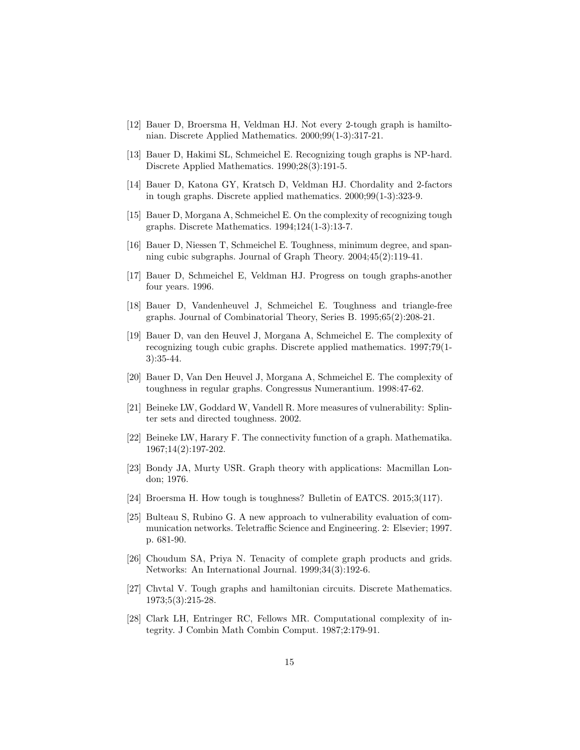- <span id="page-14-8"></span>[12] Bauer D, Broersma H, Veldman HJ. Not every 2-tough graph is hamiltonian. Discrete Applied Mathematics. 2000;99(1-3):317-21.
- <span id="page-14-14"></span>[13] Bauer D, Hakimi SL, Schmeichel E. Recognizing tough graphs is NP-hard. Discrete Applied Mathematics. 1990;28(3):191-5.
- <span id="page-14-4"></span>[14] Bauer D, Katona GY, Kratsch D, Veldman HJ. Chordality and 2-factors in tough graphs. Discrete applied mathematics. 2000;99(1-3):323-9.
- <span id="page-14-9"></span>[15] Bauer D, Morgana A, Schmeichel E. On the complexity of recognizing tough graphs. Discrete Mathematics. 1994;124(1-3):13-7.
- <span id="page-14-5"></span>[16] Bauer D, Niessen T, Schmeichel E. Toughness, minimum degree, and spanning cubic subgraphs. Journal of Graph Theory. 2004;45(2):119-41.
- [17] Bauer D, Schmeichel E, Veldman HJ. Progress on tough graphs-another four years. 1996.
- <span id="page-14-6"></span>[18] Bauer D, Vandenheuvel J, Schmeichel E. Toughness and triangle-free graphs. Journal of Combinatorial Theory, Series B. 1995;65(2):208-21.
- <span id="page-14-10"></span>[19] Bauer D, van den Heuvel J, Morgana A, Schmeichel E. The complexity of recognizing tough cubic graphs. Discrete applied mathematics. 1997;79(1- 3):35-44.
- <span id="page-14-11"></span>[20] Bauer D, Van Den Heuvel J, Morgana A, Schmeichel E. The complexity of toughness in regular graphs. Congressus Numerantium. 1998:47-62.
- <span id="page-14-7"></span>[21] Beineke LW, Goddard W, Vandell R. More measures of vulnerability: Splinter sets and directed toughness. 2002.
- <span id="page-14-0"></span>[22] Beineke LW, Harary F. The connectivity function of a graph. Mathematika. 1967;14(2):197-202.
- <span id="page-14-1"></span>[23] Bondy JA, Murty USR. Graph theory with applications: Macmillan London; 1976.
- <span id="page-14-15"></span>[24] Broersma H. How tough is toughness? Bulletin of EATCS. 2015;3(117).
- <span id="page-14-13"></span>[25] Bulteau S, Rubino G. A new approach to vulnerability evaluation of communication networks. Teletraffic Science and Engineering. 2: Elsevier; 1997. p. 681-90.
- <span id="page-14-12"></span>[26] Choudum SA, Priya N. Tenacity of complete graph products and grids. Networks: An International Journal. 1999;34(3):192-6.
- <span id="page-14-3"></span>[27] Chvtal V. Tough graphs and hamiltonian circuits. Discrete Mathematics. 1973;5(3):215-28.
- <span id="page-14-2"></span>[28] Clark LH, Entringer RC, Fellows MR. Computational complexity of integrity. J Combin Math Combin Comput. 1987;2:179-91.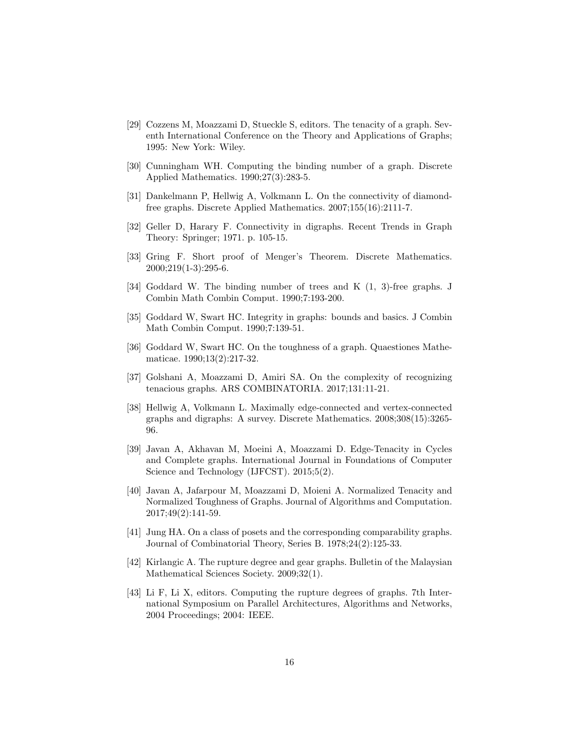- <span id="page-15-10"></span>[29] Cozzens M, Moazzami D, Stueckle S, editors. The tenacity of a graph. Seventh International Conference on the Theory and Applications of Graphs; 1995: New York: Wiley.
- <span id="page-15-4"></span>[30] Cunningham WH. Computing the binding number of a graph. Discrete Applied Mathematics. 1990;27(3):283-5.
- [31] Dankelmann P, Hellwig A, Volkmann L. On the connectivity of diamondfree graphs. Discrete Applied Mathematics. 2007;155(16):2111-7.
- <span id="page-15-1"></span>[32] Geller D, Harary F. Connectivity in digraphs. Recent Trends in Graph Theory: Springer; 1971. p. 105-15.
- <span id="page-15-0"></span>[33] Gring F. Short proof of Menger's Theorem. Discrete Mathematics. 2000;219(1-3):295-6.
- <span id="page-15-3"></span>[34] Goddard W. The binding number of trees and K (1, 3)-free graphs. J Combin Math Combin Comput. 1990;7:193-200.
- <span id="page-15-8"></span>[35] Goddard W, Swart HC. Integrity in graphs: bounds and basics. J Combin Math Combin Comput. 1990;7:139-51.
- <span id="page-15-9"></span>[36] Goddard W, Swart HC. On the toughness of a graph. Quaestiones Mathematicae. 1990;13(2):217-32.
- <span id="page-15-12"></span>[37] Golshani A, Moazzami D, Amiri SA. On the complexity of recognizing tenacious graphs. ARS COMBINATORIA. 2017;131:11-21.
- <span id="page-15-2"></span>[38] Hellwig A, Volkmann L. Maximally edge-connected and vertex-connected graphs and digraphs: A survey. Discrete Mathematics. 2008;308(15):3265- 96.
- <span id="page-15-11"></span>[39] Javan A, Akhavan M, Moeini A, Moazzami D. Edge-Tenacity in Cycles and Complete graphs. International Journal in Foundations of Computer Science and Technology (IJFCST). 2015;5(2).
- <span id="page-15-13"></span>[40] Javan A, Jafarpour M, Moazzami D, Moieni A. Normalized Tenacity and Normalized Toughness of Graphs. Journal of Algorithms and Computation. 2017;49(2):141-59.
- <span id="page-15-5"></span>[41] Jung HA. On a class of posets and the corresponding comparability graphs. Journal of Combinatorial Theory, Series B. 1978;24(2):125-33.
- <span id="page-15-6"></span>[42] Kirlangic A. The rupture degree and gear graphs. Bulletin of the Malaysian Mathematical Sciences Society. 2009;32(1).
- <span id="page-15-7"></span>[43] Li F, Li X, editors. Computing the rupture degrees of graphs. 7th International Symposium on Parallel Architectures, Algorithms and Networks, 2004 Proceedings; 2004: IEEE.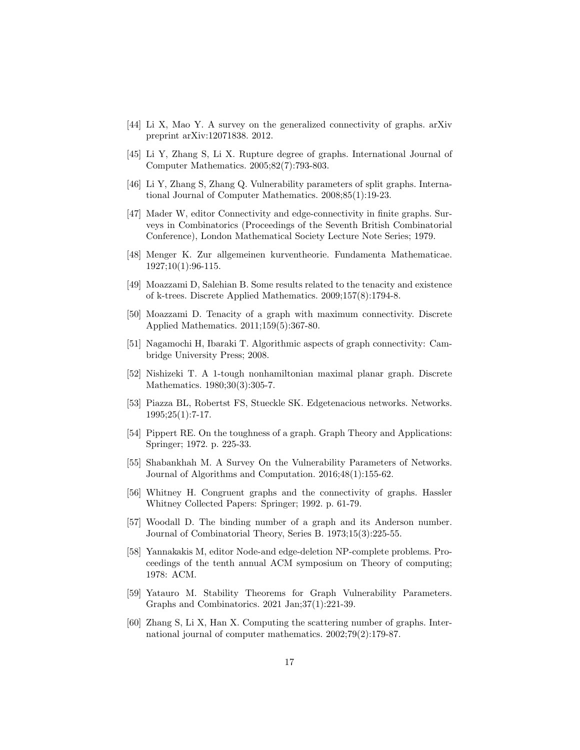- <span id="page-16-5"></span>[44] Li X, Mao Y. A survey on the generalized connectivity of graphs. arXiv preprint arXiv:12071838. 2012.
- <span id="page-16-9"></span>[45] Li Y, Zhang S, Li X. Rupture degree of graphs. International Journal of Computer Mathematics. 2005;82(7):793-803.
- <span id="page-16-12"></span>[46] Li Y, Zhang S, Zhang Q. Vulnerability parameters of split graphs. International Journal of Computer Mathematics. 2008;85(1):19-23.
- <span id="page-16-3"></span>[47] Mader W, editor Connectivity and edge-connectivity in finite graphs. Surveys in Combinatorics (Proceedings of the Seventh British Combinatorial Conference), London Mathematical Society Lecture Note Series; 1979.
- <span id="page-16-2"></span>[48] Menger K. Zur allgemeinen kurventheorie. Fundamenta Mathematicae. 1927;10(1):96-115.
- <span id="page-16-13"></span>[49] Moazzami D, Salehian B. Some results related to the tenacity and existence of k-trees. Discrete Applied Mathematics. 2009;157(8):1794-8.
- <span id="page-16-14"></span>[50] Moazzami D. Tenacity of a graph with maximum connectivity. Discrete Applied Mathematics. 2011;159(5):367-80.
- <span id="page-16-6"></span>[51] Nagamochi H, Ibaraki T. Algorithmic aspects of graph connectivity: Cambridge University Press; 2008.
- <span id="page-16-10"></span>[52] Nishizeki T. A 1-tough nonhamiltonian maximal planar graph. Discrete Mathematics. 1980;30(3):305-7.
- <span id="page-16-15"></span>[53] Piazza BL, Robertst FS, Stueckle SK. Edgetenacious networks. Networks.  $1995;25(1):7-17.$
- <span id="page-16-11"></span>[54] Pippert RE. On the toughness of a graph. Graph Theory and Applications: Springer; 1972. p. 225-33.
- <span id="page-16-0"></span>[55] Shabankhah M. A Survey On the Vulnerability Parameters of Networks. Journal of Algorithms and Computation. 2016;48(1):155-62.
- <span id="page-16-4"></span>[56] Whitney H. Congruent graphs and the connectivity of graphs. Hassler Whitney Collected Papers: Springer; 1992. p. 61-79.
- <span id="page-16-7"></span>[57] Woodall D. The binding number of a graph and its Anderson number. Journal of Combinatorial Theory, Series B. 1973;15(3):225-55.
- <span id="page-16-16"></span>[58] Yannakakis M, editor Node-and edge-deletion NP-complete problems. Proceedings of the tenth annual ACM symposium on Theory of computing; 1978: ACM.
- <span id="page-16-1"></span>[59] Yatauro M. Stability Theorems for Graph Vulnerability Parameters. Graphs and Combinatorics. 2021 Jan;37(1):221-39.
- <span id="page-16-8"></span>[60] Zhang S, Li X, Han X. Computing the scattering number of graphs. International journal of computer mathematics. 2002;79(2):179-87.